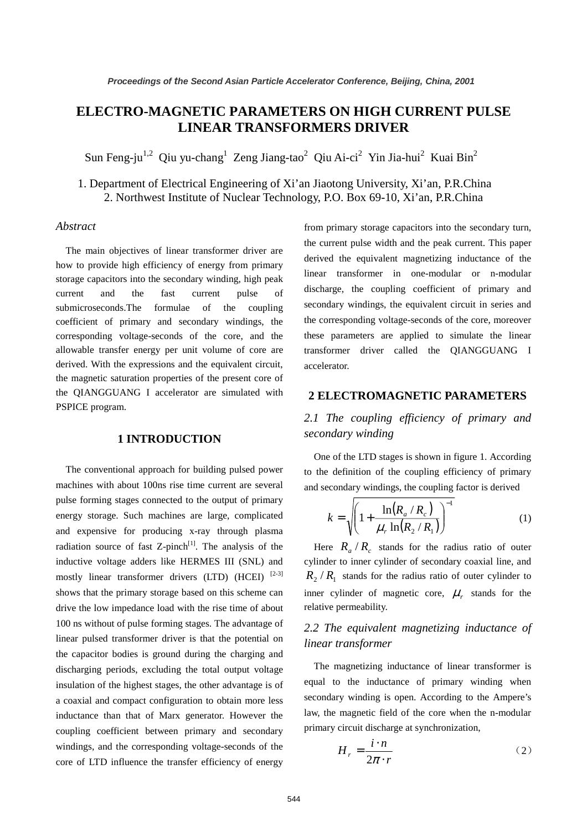# **ELECTRO-MAGNETIC PARAMETERS ON HIGH CURRENT PULSE LINEAR TRANSFORMERS DRIVER**

Sun Feng-ju<sup>1,2</sup> Qiu yu-chang<sup>1</sup> Zeng Jiang-tao<sup>2</sup> Qiu Ai-ci<sup>2</sup> Yin Jia-hui<sup>2</sup> Kuai Bin<sup>2</sup>

1. Department of Electrical Engineering of Xi'an Jiaotong University, Xi'an, P.R.China 2. Northwest Institute of Nuclear Technology, P.O. Box 69-10, Xi'an, P.R.China

#### *Abstract*

The main objectives of linear transformer driver are how to provide high efficiency of energy from primary storage capacitors into the secondary winding, high peak current and the fast current pulse of submicroseconds.The formulae of the coupling coefficient of primary and secondary windings, the corresponding voltage-seconds of the core, and the allowable transfer energy per unit volume of core are derived. With the expressions and the equivalent circuit, the magnetic saturation properties of the present core of the QIANGGUANG I accelerator are simulated with PSPICE program.

#### **1 INTRODUCTION**

The conventional approach for building pulsed power machines with about 100ns rise time current are several pulse forming stages connected to the output of primary energy storage. Such machines are large, complicated and expensive for producing x-ray through plasma radiation source of fast  $Z$ -pinch<sup>[1]</sup>. The analysis of the inductive voltage adders like HERMES III (SNL) and mostly linear transformer drivers (LTD) (HCEI) [2-3] shows that the primary storage based on this scheme can drive the low impedance load with the rise time of about 100 ns without of pulse forming stages. The advantage of linear pulsed transformer driver is that the potential on the capacitor bodies is ground during the charging and discharging periods, excluding the total output voltage insulation of the highest stages, the other advantage is of a coaxial and compact configuration to obtain more less inductance than that of Marx generator. However the coupling coefficient between primary and secondary windings, and the corresponding voltage-seconds of the core of LTD influence the transfer efficiency of energy

from primary storage capacitors into the secondary turn, the current pulse width and the peak current. This paper derived the equivalent magnetizing inductance of the linear transformer in one-modular or n-modular discharge, the coupling coefficient of primary and secondary windings, the equivalent circuit in series and the corresponding voltage-seconds of the core, moreover these parameters are applied to simulate the linear transformer driver called the QIANGGUANG I accelerator.

#### **2 ELECTROMAGNETIC PARAMETERS**

### *2.1 The coupling efficiency of primary and secondary winding*

One of the LTD stages is shown in figure 1. According to the definition of the coupling efficiency of primary and secondary windings, the coupling factor is derived

$$
k = \sqrt{\left(1 + \frac{\ln(R_a/R_c)}{\mu_r \ln(R_2/R_1)}\right)^{-1}}
$$
(1)

Here  $R_a/R_c$  stands for the radius ratio of outer cylinder to inner cylinder of secondary coaxial line, and  $R_2 / R_1$  stands for the radius ratio of outer cylinder to inner cylinder of magnetic core,  $\mu_r$  stands for the relative permeability.

### *2.2 The equivalent magnetizing inductance of linear transformer*

The magnetizing inductance of linear transformer is equal to the inductance of primary winding when secondary winding is open. According to the Ampere's law, the magnetic field of the core when the n-modular primary circuit discharge at synchronization,

$$
H_r = \frac{i \cdot n}{2\pi \cdot r} \tag{2}
$$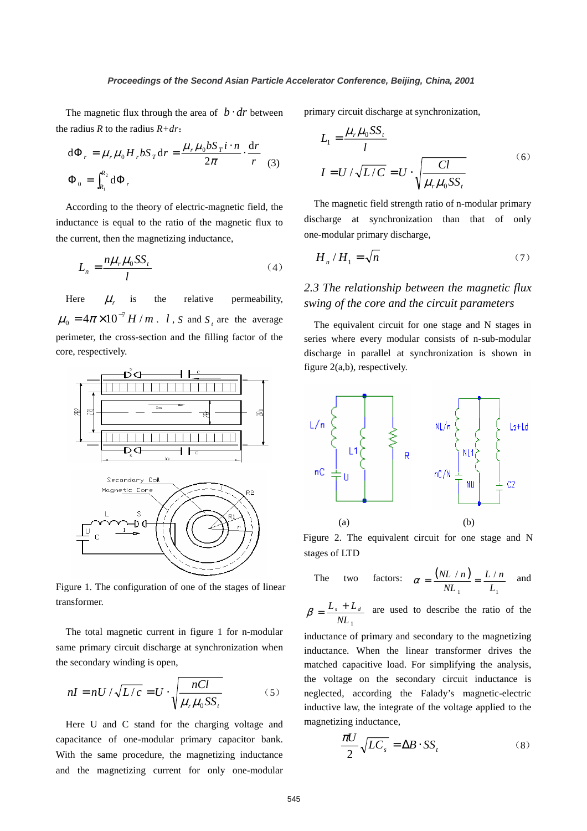The magnetic flux through the area of  $b \cdot dr$  between the radius *R* to the radius *R+dr*:

$$
d\Phi_r = \mu_r \mu_0 H_r b S_T dr = \frac{\mu_r \mu_0 b S_T i \cdot n}{2\pi} \cdot \frac{dr}{r}
$$
  

$$
\Phi_0 = \int_{R_1}^{R_2} d\Phi_r
$$
 (3)

According to the theory of electric-magnetic field, the inductance is equal to the ratio of the magnetic flux to the current, then the magnetizing inductance,

$$
L_n = \frac{n\mu_r\mu_0 SS_t}{l} \tag{4}
$$

Here  $\mu$  is the relative permeability,  $4\pi \times 10^{-7}$  H / m  $\mu_0 = 4\pi \times 10^{-7} H/m$ . *l*, *S* and *S<sub>t</sub>* are the average perimeter, the cross-section and the filling factor of the core, respectively.



Figure 1. The configuration of one of the stages of linear transformer.

The total magnetic current in figure 1 for n-modular same primary circuit discharge at synchronization when the secondary winding is open,

$$
nI = nU / \sqrt{L/c} = U \cdot \sqrt{\frac{nCl}{\mu_r \mu_0 SS_r}}
$$
(5)

Here U and C stand for the charging voltage and capacitance of one-modular primary capacitor bank. With the same procedure, the magnetizing inductance and the magnetizing current for only one-modular primary circuit discharge at synchronization,

$$
L_1 = \frac{\mu_r \mu_0 S S_t}{l}
$$
  

$$
I = U / \sqrt{L/C} = U \cdot \sqrt{\frac{Cl}{\mu_r \mu_0 S S_t}}
$$
 (6)

The magnetic field strength ratio of n-modular primary discharge at synchronization than that of only one-modular primary discharge,

$$
H_n / H_1 = \sqrt{n} \tag{7}
$$

### *2.3 The relationship between the magnetic flux swing of the core and the circuit parameters*

The equivalent circuit for one stage and N stages in series where every modular consists of n-sub-modular discharge in parallel at synchronization is shown in figure 2(a,b), respectively.



Figure 2. The equivalent circuit for one stage and N stages of LTD

The two factors: 
$$
\alpha = \frac{(NL/n)}{NL_1} = \frac{L/n}{L_1}
$$
 and

 $NL_{\overline{1}}$  $\beta = \frac{L_s + L_d}{V}$  are used to describe the ratio of the

inductance of primary and secondary to the magnetizing inductance. When the linear transformer drives the matched capacitive load. For simplifying the analysis, the voltage on the secondary circuit inductance is neglected, according the Falady's magnetic-electric inductive law, the integrate of the voltage applied to the magnetizing inductance,

$$
\frac{\pi U}{2} \sqrt{LC_s} = \Delta B \cdot SS_t \tag{8}
$$